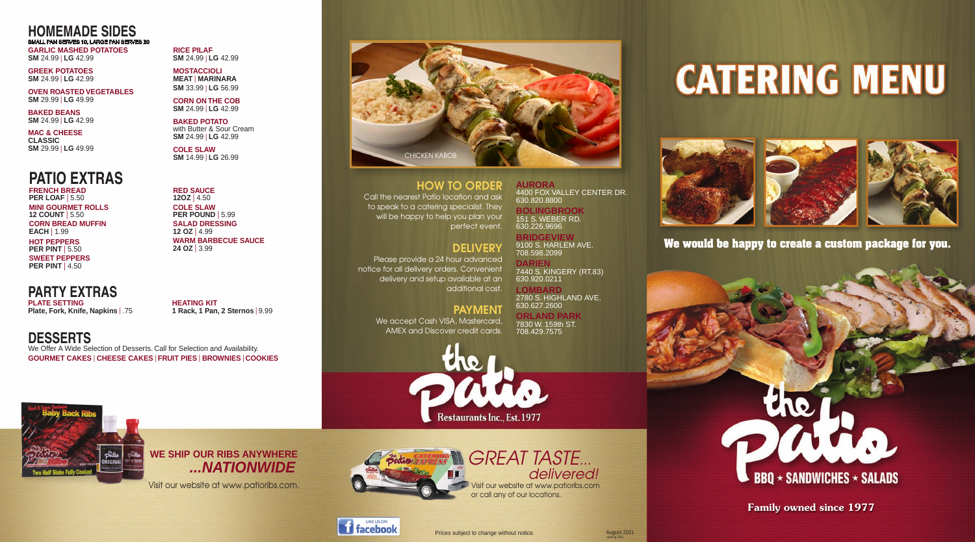**RICE PILAF SM** 24.99 | LG 42.99

**Family owned since 1977**

**CORN ON THE COB SM** 24.99 | LG 42.99

**MOSTACCIOLI MEAT** <sup>l</sup> **MARINARA SM** 33.99 <sup>l</sup> **LG** 56.99

**BAKED POTATO**  with Butter & Sour Cream **SM** 24.99 <sup>l</sup> **LG** 42.99

**COLE SLAW SM** 14.99 <sup>l</sup> **LG** 26.99

**GREEK POTATOES SM** 24.99 <sup>l</sup> **LG** 42.99

**OVEN ROASTED VEGETABLES SM** 29.99 <sup>l</sup> **LG** 49.99

**BAKED BEANS SM** 24.99 <sup>l</sup> **LG** 42.99

**MAC & CHEESE CLASSIC SM** 29.99 <sup>l</sup> **LG** 49.99

> We accept Cash VISA, Mastercard, AMEX and Discover credit cards.



Visit our website at www.patioribs.com

or call any of our locations.



Visit our website at www.patioribs.com.





HOW TO ORDER

Call the nearest Patio location and ask to speak to a catering specialist. They will be happy to help you plan your perfect event.

### **DELIVERY**

*Proudly Serving Quality Food For 40 Years!* **We would be happy to create a custom package for you.**



**FRENCH BREAD PER LOAF** | 5.50 **MINI GOURMET ROLLS 12 COUNT** | 5.50 **CORN BREAD MUFFIN EACH** | 1.99 **HOT PEPPERS PER PINT** | 5.50 **SWEET PEPPERS PER PINT** | 4.50

Please provide a 24 hour advanced notice for all delivery orders. Convenient delivery and setup available at an additional cost.

**GARLIC MASHED POTATOES SM** 24.99 <sup>l</sup> **LG** 42.99 SMALL PAN SERVES 10, LARGE PAN SERVES 20

### PAYMENT

**PLATE SETTING Plate, Fork, Knife, Napkins** | .75

**HEATING KIT 1 Rack, 1 Pan, 2 Sternos** | 9.99

Prices subject to change without notice.

**Restaurants Inc., Est. 1977** 

*GREAT TASTE...*

 *delivered!*

# **CATERING MENU**









# **PATIO EXTRAS**

**AURORA** 4400 FOX VALLEY CENTER DR. 630.820.8800

#### **BOLINGBROOK** 151 S. WEBER RD. 630.226.9696

**BRIDGEVIEW** 9100 S. HARLEM AVE. 708.598.2099

**DARIEN** 7440 S. KINGERY (RT.83) 630.920.0211

**LOMBARD** 2780 S. HIGHLAND AVE. 630.627.2600

**ORLAND PARK** 7830 W. 159th ST. 708.429.7575

# **HOMEMADE SIDES**

**RED SAUCE 12OZ** <sup>l</sup> 4.50 **COLE SLAW PER POUND** | 5.99 **SALAD DRESSING 12 OZ** <sup>l</sup> 4.99 **WARM BARBECUE SAUCE 24 OZ** <sup>l</sup> 3.99

**DESSERTS** We Offer A Wide Selection of Desserts. Call for Selection and Availability. **GOURMET CAKES** <sup>l</sup> **CHEESE CAKES** l **FRUIT PIES** <sup>l</sup> **BROWNIES** <sup>l</sup> **COOKIES**

# **PARTY EXTRAS**